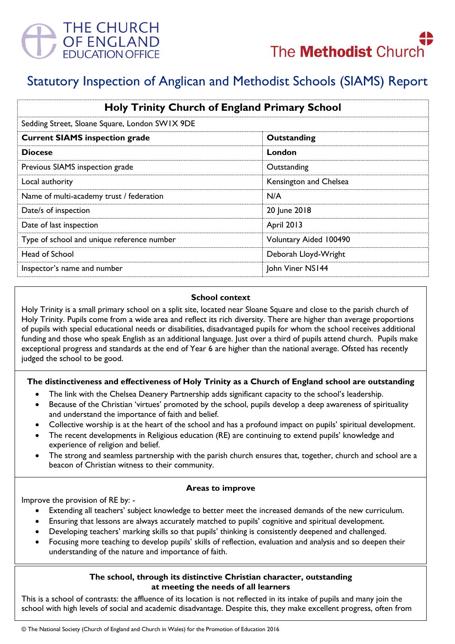

# Statutory Inspection of Anglican and Methodist Schools (SIAMS) Report

| <b>Holy Trinity Church of England Primary School</b><br>Sedding Street, Sloane Square, London SWIX 9DE |                        |
|--------------------------------------------------------------------------------------------------------|------------------------|
|                                                                                                        |                        |
| <b>Diocese</b>                                                                                         | London                 |
| Previous SIAMS inspection grade                                                                        | Outstanding            |
| Local authority                                                                                        | Kensington and Chelsea |
| Name of multi-academy trust / federation                                                               | N/A                    |
| Date/s of inspection                                                                                   | 20 June 2018           |
| Date of last inspection                                                                                | <b>April 2013</b>      |
| Type of school and unique reference number                                                             | Voluntary Aided 100490 |
| Head of School                                                                                         | Deborah Lloyd-Wright   |
| Inspector's name and number                                                                            | John Viner NS144       |

### **School context**

Holy Trinity is a small primary school on a split site, located near Sloane Square and close to the parish church of Holy Trinity. Pupils come from a wide area and reflect its rich diversity. There are higher than average proportions of pupils with special educational needs or disabilities, disadvantaged pupils for whom the school receives additional funding and those who speak English as an additional language. Just over a third of pupils attend church. Pupils make exceptional progress and standards at the end of Year 6 are higher than the national average. Ofsted has recently judged the school to be good.

# **The distinctiveness and effectiveness of Holy Trinity as a Church of England school are outstanding**

- The link with the Chelsea Deanery Partnership adds significant capacity to the school's leadership.
- Because of the Christian 'virtues' promoted by the school, pupils develop a deep awareness of spirituality and understand the importance of faith and belief.
- Collective worship is at the heart of the school and has a profound impact on pupils' spiritual development.
- The recent developments in Religious education (RE) are continuing to extend pupils' knowledge and experience of religion and belief.
- The strong and seamless partnership with the parish church ensures that, together, church and school are a beacon of Christian witness to their community.

# **Areas to improve**

Improve the provision of RE by: -

- Extending all teachers' subject knowledge to better meet the increased demands of the new curriculum.
- Ensuring that lessons are always accurately matched to pupils' cognitive and spiritual development.
- Developing teachers' marking skills so that pupils' thinking is consistently deepened and challenged.
- Focusing more teaching to develop pupils' skills of reflection, evaluation and analysis and so deepen their understanding of the nature and importance of faith.

# **The school, through its distinctive Christian character, outstanding at meeting the needs of all learners**

This is a school of contrasts: the affluence of its location is not reflected in its intake of pupils and many join the school with high levels of social and academic disadvantage. Despite this, they make excellent progress, often from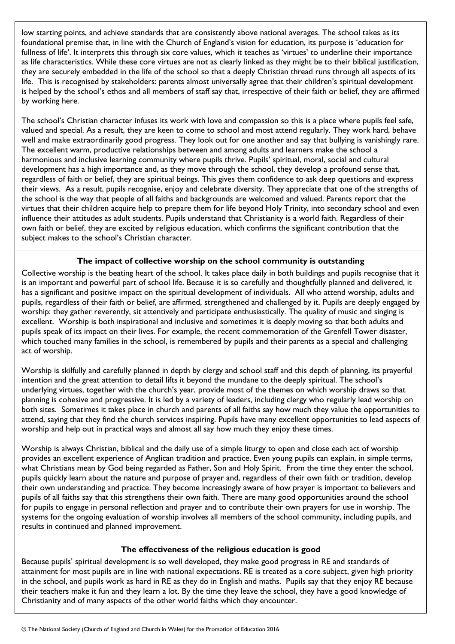low starting points, and achieve standards that are consistently above national averages. The school takes as its foundational premise that, in line with the Church of England's vision for education, its purpose is 'education for fullness of life'. It interprets this through six core values, which it teaches as 'virtues' to underline their importance as life characteristics. While these core virtues are not as clearly linked as they might be to their biblical justification, they are securely embedded in the life of the school so that a deeply Christian thread runs through all aspects of its life. This is recognised by stakeholders: parents almost universally agree that their children's spiritual development is helped by the school's ethos and all members of staff say that, irrespective of their faith or belief, they are affirmed by working here.

The school's Christian character infuses its work with love and compassion so this is a place where pupils feel safe, valued and special. As a result, they are keen to come to school and most attend regularly. They work hard, behave well and make extraordinarily good progress. They look out for one another and say that bullying is vanishingly rare. The excellent warm, productive relationships between and among adults and learners make the school a harmonious and inclusive learning community where pupils thrive. Pupils' spiritual, moral, social and cultural development has a high importance and, as they move through the school, they develop a profound sense that, regardless of faith or belief, they are spiritual beings. This gives them confidence to ask deep questions and express their views. As a result, pupils recognise, enjoy and celebrate diversity. They appreciate that one of the strengths of the school is the way that people of all faiths and backgrounds are welcomed and valued. Parents report that the virtues that their children acquire help to prepare them for life beyond Holy Trinity, into secondary school and even influence their attitudes as adult students. Pupils understand that Christianity is a world faith. Regardless of their own faith or belief, they are excited by religious education, which confirms the significant contribution that the subject makes to the school's Christian character.

# **The impact of collective worship on the school community is outstanding**

Collective worship is the beating heart of the school. It takes place daily in both buildings and pupils recognise that it is an important and powerful part of school life. Because it is so carefully and thoughtfully planned and delivered, it has a significant and positive impact on the spiritual development of individuals. All who attend worship, adults and pupils, regardless of their faith or belief, are affirmed, strengthened and challenged by it. Pupils are deeply engaged by worship: they gather reverently, sit attentively and participate enthusiastically. The quality of music and singing is excellent. Worship is both inspirational and inclusive and sometimes it is deeply moving so that both adults and pupils speak of its impact on their lives. For example, the recent commemoration of the Grenfell Tower disaster, which touched many families in the school, is remembered by pupils and their parents as a special and challenging act of worship.

Worship is skilfully and carefully planned in depth by clergy and school staff and this depth of planning, its prayerful intention and the great attention to detail lifts it beyond the mundane to the deeply spiritual. The school's underlying virtues, together with the church's year, provide most of the themes on which worship draws so that planning is cohesive and progressive. It is led by a variety of leaders, including clergy who regularly lead worship on both sites. Sometimes it takes place in church and parents of all faiths say how much they value the opportunities to attend, saying that they find the church services inspiring. Pupils have many excellent opportunities to lead aspects of worship and help out in practical ways and almost all say how much they enjoy these times.

Worship is always Christian, biblical and the daily use of a simple liturgy to open and close each act of worship provides an excellent experience of Anglican tradition and practice. Even young pupils can explain, in simple terms, what Christians mean by God being regarded as Father, Son and Holy Spirit. From the time they enter the school, pupils quickly learn about the nature and purpose of prayer and, regardless of their own faith or tradition, develop their own understanding and practice. They become increasingly aware of how prayer is important to believers and pupils of all faiths say that this strengthens their own faith. There are many good opportunities around the school for pupils to engage in personal reflection and prayer and to contribute their own prayers for use in worship. The systems for the ongoing evaluation of worship involves all members of the school community, including pupils, and results in continued and planned improvement.

# **The effectiveness of the religious education is good**

Because pupils' spiritual development is so well developed, they make good progress in RE and standards of attainment for most pupils are in line with national expectations. RE is treated as a core subject, given high priority in the school, and pupils work as hard in RE as they do in English and maths. Pupils say that they enjoy RE because their teachers make it fun and they learn a lot. By the time they leave the school, they have a good knowledge of Christianity and of many aspects of the other world faiths which they encounter.